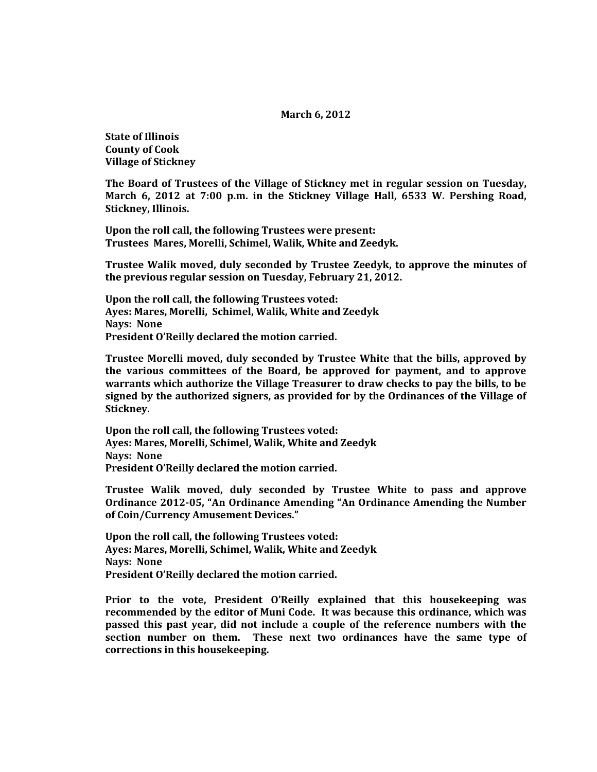## **March 6, 2012**

**State of Illinois County of Cook Village of Stickney**

**The Board of Trustees of the Village of Stickney met in regular session on Tuesday, March 6, 2012 at 7:00 p.m. in the Stickney Village Hall, 6533 W. Pershing Road, Stickney, Illinois.**

**Upon the roll call, the following Trustees were present: Trustees Mares, Morelli, Schimel, Walik, White and Zeedyk.** 

**Trustee Walik moved, duly seconded by Trustee Zeedyk, to approve the minutes of the previous regular session on Tuesday, February 21, 2012.**

**Upon the roll call, the following Trustees voted: Ayes: Mares, Morelli, Schimel, Walik, White and Zeedyk Nays: None President O'Reilly declared the motion carried.**

**Trustee Morelli moved, duly seconded by Trustee White that the bills, approved by the various committees of the Board, be approved for payment, and to approve warrants which authorize the Village Treasurer to draw checks to pay the bills, to be signed by the authorized signers, as provided for by the Ordinances of the Village of Stickney.**

**Upon the roll call, the following Trustees voted: Ayes: Mares, Morelli, Schimel, Walik, White and Zeedyk Nays: None President O'Reilly declared the motion carried.**

**Trustee Walik moved, duly seconded by Trustee White to pass and approve Ordinance 2012-05, "An Ordinance Amending "An Ordinance Amending the Number of Coin/Currency Amusement Devices."**

**Upon the roll call, the following Trustees voted: Ayes: Mares, Morelli, Schimel, Walik, White and Zeedyk Nays: None President O'Reilly declared the motion carried.**

**Prior to the vote, President O'Reilly explained that this housekeeping was recommended by the editor of Muni Code. It was because this ordinance, which was passed this past year, did not include a couple of the reference numbers with the section number on them. These next two ordinances have the same type of corrections in this housekeeping.**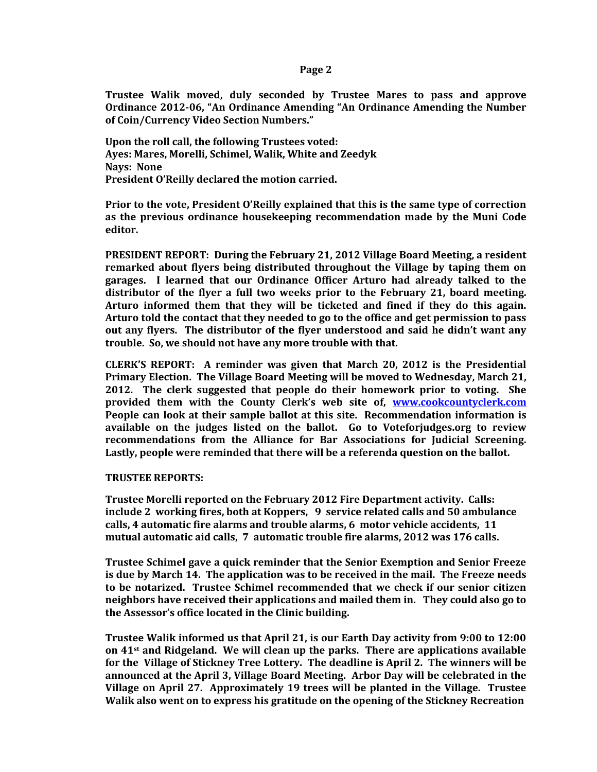**Page 2**

**Trustee Walik moved, duly seconded by Trustee Mares to pass and approve Ordinance 2012-06, "An Ordinance Amending "An Ordinance Amending the Number of Coin/Currency Video Section Numbers."**

**Upon the roll call, the following Trustees voted: Ayes: Mares, Morelli, Schimel, Walik, White and Zeedyk Nays: None President O'Reilly declared the motion carried.**

**Prior to the vote, President O'Reilly explained that this is the same type of correction as the previous ordinance housekeeping recommendation made by the Muni Code editor.**

**PRESIDENT REPORT: During the February 21, 2012 Village Board Meeting, a resident remarked about flyers being distributed throughout the Village by taping them on garages. I learned that our Ordinance Officer Arturo had already talked to the distributor of the flyer a full two weeks prior to the February 21, board meeting. Arturo informed them that they will be ticketed and fined if they do this again. Arturo told the contact that they needed to go to the office and get permission to pass out any flyers. The distributor of the flyer understood and said he didn't want any trouble. So, we should not have any more trouble with that.**

**CLERK'S REPORT: A reminder was given that March 20, 2012 is the Presidential Primary Election. The Village Board Meeting will be moved to Wednesday, March 21, 2012. The clerk suggested that people do their homework prior to voting. She provided them with the County Clerk's web site of, [www.cookcountyclerk.com](http://www.cookcountyclerk.com/)  People can look at their sample ballot at this site. Recommendation information is available on the judges listed on the ballot. Go to Voteforjudges.org to review recommendations from the Alliance for Bar Associations for Judicial Screening. Lastly, people were reminded that there will be a referenda question on the ballot.**

## **TRUSTEE REPORTS:**

**Trustee Morelli reported on the February 2012 Fire Department activity. Calls: include 2 working fires, both at Koppers, 9 service related calls and 50 ambulance calls, 4 automatic fire alarms and trouble alarms, 6 motor vehicle accidents, 11 mutual automatic aid calls, 7 automatic trouble fire alarms, 2012 was 176 calls.** 

**Trustee Schimel gave a quick reminder that the Senior Exemption and Senior Freeze is due by March 14. The application was to be received in the mail. The Freeze needs to be notarized. Trustee Schimel recommended that we check if our senior citizen neighbors have received their applications and mailed them in. They could also go to the Assessor's office located in the Clinic building.**

**Trustee Walik informed us that April 21, is our Earth Day activity from 9:00 to 12:00 on 41st and Ridgeland. We will clean up the parks. There are applications available for the Village of Stickney Tree Lottery. The deadline is April 2. The winners will be announced at the April 3, Village Board Meeting. Arbor Day will be celebrated in the Village on April 27. Approximately 19 trees will be planted in the Village. Trustee Walik also went on to express his gratitude on the opening of the Stickney Recreation**